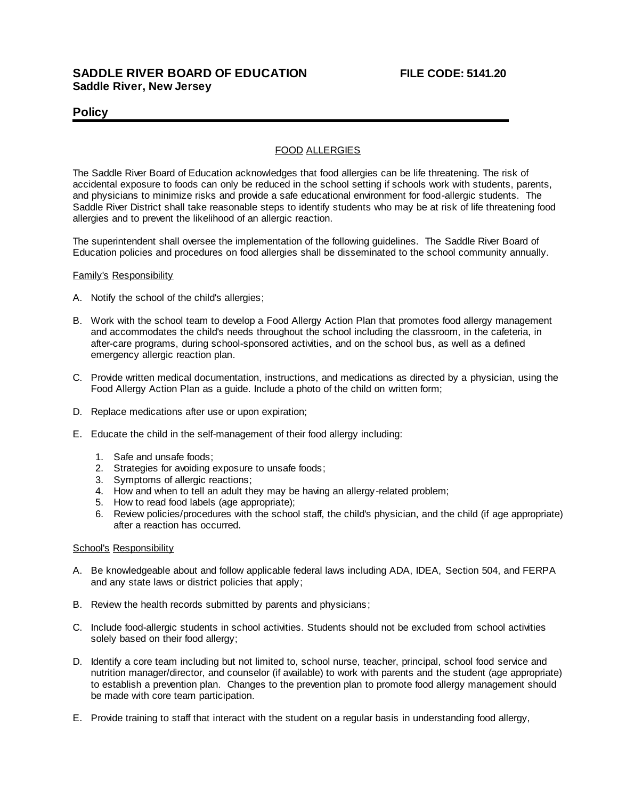## **SADDLE RIVER BOARD OF EDUCATION FILE CODE: 5141.20 Saddle River, New Jersey**

### **Policy**

### FOOD ALLERGIES

The Saddle River Board of Education acknowledges that food allergies can be life threatening. The risk of accidental exposure to foods can only be reduced in the school setting if schools work with students, parents, and physicians to minimize risks and provide a safe educational environment for food-allergic students. The Saddle River District shall take reasonable steps to identify students who may be at risk of life threatening food allergies and to prevent the likelihood of an allergic reaction.

The superintendent shall oversee the implementation of the following guidelines. The Saddle River Board of Education policies and procedures on food allergies shall be disseminated to the school community annually.

#### Family's Responsibility

- A. Notify the school of the child's allergies;
- B. Work with the school team to develop a Food Allergy Action Plan that promotes food allergy management and accommodates the child's needs throughout the school including the classroom, in the cafeteria, in after-care programs, during school-sponsored activities, and on the school bus, as well as a defined emergency allergic reaction plan.
- C. Provide written medical documentation, instructions, and medications as directed by a physician, using the Food Allergy Action Plan as a guide. Include a photo of the child on written form;
- D. Replace medications after use or upon expiration;
- E. Educate the child in the self-management of their food allergy including:
	- 1. Safe and unsafe foods;
	- 2. Strategies for avoiding exposure to unsafe foods;
	- 3. Symptoms of allergic reactions;
	- 4. How and when to tell an adult they may be having an allergy-related problem;
	- 5. How to read food labels (age appropriate);
	- 6. Review policies/procedures with the school staff, the child's physician, and the child (if age appropriate) after a reaction has occurred.

#### School's Responsibility

- A. Be knowledgeable about and follow applicable federal laws including ADA, IDEA, Section 504, and FERPA and any state laws or district policies that apply;
- B. Review the health records submitted by parents and physicians;
- C. Include food-allergic students in school activities. Students should not be excluded from school activities solely based on their food allergy;
- D. Identify a core team including but not limited to, school nurse, teacher, principal, school food service and nutrition manager/director, and counselor (if available) to work with parents and the student (age appropriate) to establish a prevention plan. Changes to the prevention plan to promote food allergy management should be made with core team participation.
- E. Provide training to staff that interact with the student on a regular basis in understanding food allergy,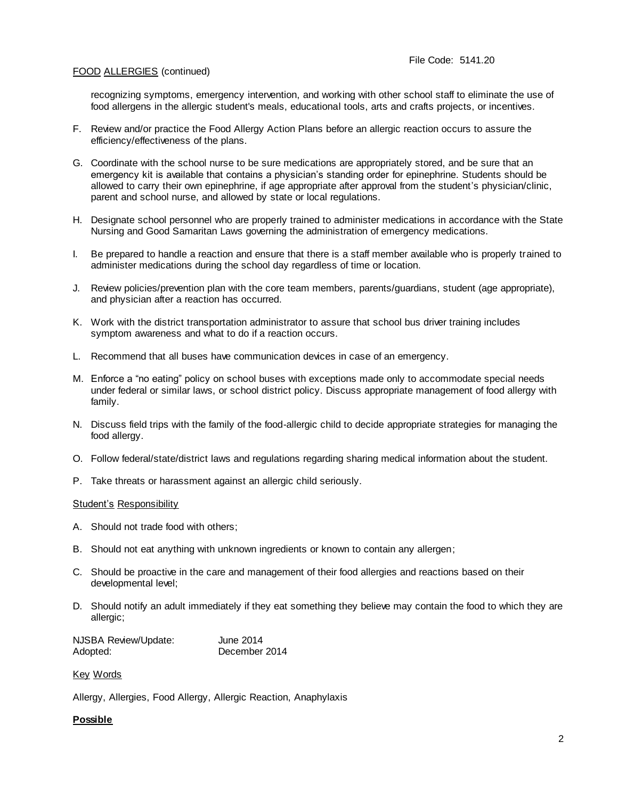### FOOD ALLERGIES (continued)

recognizing symptoms, emergency intervention, and working with other school staff to eliminate the use of food allergens in the allergic student's meals, educational tools, arts and crafts projects, or incentives.

- F. Review and/or practice the Food Allergy Action Plans before an allergic reaction occurs to assure the efficiency/effectiveness of the plans.
- G. Coordinate with the school nurse to be sure medications are appropriately stored, and be sure that an emergency kit is available that contains a physician's standing order for epinephrine. Students should be allowed to carry their own epinephrine, if age appropriate after approval from the student's physician/clinic, parent and school nurse, and allowed by state or local regulations.
- H. Designate school personnel who are properly trained to administer medications in accordance with the State Nursing and Good Samaritan Laws governing the administration of emergency medications.
- I. Be prepared to handle a reaction and ensure that there is a staff member available who is properly trained to administer medications during the school day regardless of time or location.
- J. Review policies/prevention plan with the core team members, parents/guardians, student (age appropriate), and physician after a reaction has occurred.
- K. Work with the district transportation administrator to assure that school bus driver training includes symptom awareness and what to do if a reaction occurs.
- L. Recommend that all buses have communication devices in case of an emergency.
- M. Enforce a "no eating" policy on school buses with exceptions made only to accommodate special needs under federal or similar laws, or school district policy. Discuss appropriate management of food allergy with family.
- N. Discuss field trips with the family of the food-allergic child to decide appropriate strategies for managing the food allergy.
- O. Follow federal/state/district laws and regulations regarding sharing medical information about the student.
- P. Take threats or harassment against an allergic child seriously.

#### Student's Responsibility

- A. Should not trade food with others;
- B. Should not eat anything with unknown ingredients or known to contain any allergen;
- C. Should be proactive in the care and management of their food allergies and reactions based on their developmental level;
- D. Should notify an adult immediately if they eat something they believe may contain the food to which they are allergic;

| NJSBA Review/Update: | June 2014     |
|----------------------|---------------|
| Adopted:             | December 2014 |

#### Key Words

Allergy, Allergies, Food Allergy, Allergic Reaction, Anaphylaxis

### **Possible**